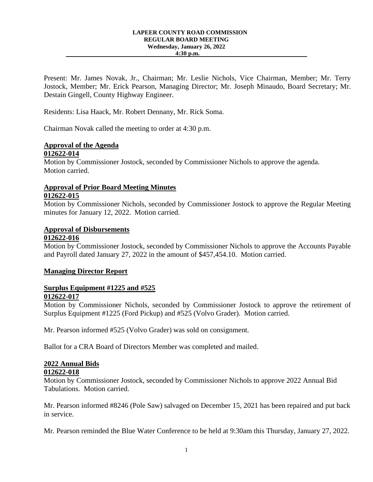#### **LAPEER COUNTY ROAD COMMISSION REGULAR BOARD MEETING Wednesday, January 26, 2022 4:30 p.m.**

Present: Mr. James Novak, Jr., Chairman; Mr. Leslie Nichols, Vice Chairman, Member; Mr. Terry Jostock, Member; Mr. Erick Pearson, Managing Director; Mr. Joseph Minaudo, Board Secretary; Mr. Destain Gingell, County Highway Engineer.

Residents: Lisa Haack, Mr. Robert Dennany, Mr. Rick Soma.

Chairman Novak called the meeting to order at 4:30 p.m.

### **Approval of the Agenda 012622-014**

Motion by Commissioner Jostock, seconded by Commissioner Nichols to approve the agenda. Motion carried.

### **Approval of Prior Board Meeting Minutes 012622-015**

Motion by Commissioner Nichols, seconded by Commissioner Jostock to approve the Regular Meeting minutes for January 12, 2022. Motion carried.

# **Approval of Disbursements**

### **012622-016**

Motion by Commissioner Jostock, seconded by Commissioner Nichols to approve the Accounts Payable and Payroll dated January 27, 2022 in the amount of \$457,454.10. Motion carried.

### **Managing Director Report**

### **Surplus Equipment #1225 and #525 012622-017**

Motion by Commissioner Nichols, seconded by Commissioner Jostock to approve the retirement of Surplus Equipment #1225 (Ford Pickup) and #525 (Volvo Grader). Motion carried.

Mr. Pearson informed #525 (Volvo Grader) was sold on consignment.

Ballot for a CRA Board of Directors Member was completed and mailed.

## **2022 Annual Bids**

### **012622-018**

Motion by Commissioner Jostock, seconded by Commissioner Nichols to approve 2022 Annual Bid Tabulations. Motion carried.

Mr. Pearson informed #8246 (Pole Saw) salvaged on December 15, 2021 has been repaired and put back in service.

Mr. Pearson reminded the Blue Water Conference to be held at 9:30am this Thursday, January 27, 2022.